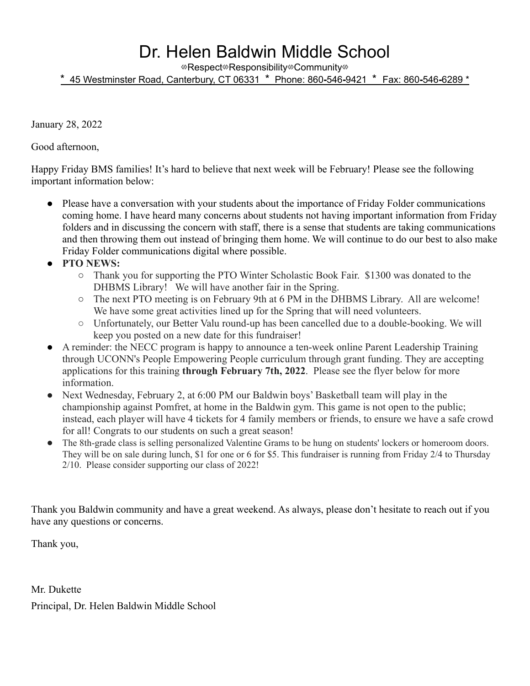## Dr. Helen Baldwin Middle School

⇎Respect⇎Responsibility⇎Community⇎

\* 45 Westminster Road, Canterbury, CT 06331 \* Phone: 860**-**546**-**9421 \* Fax: 860**-**546**-**6289 \*

January 28, 2022

Good afternoon,

Happy Friday BMS families! It's hard to believe that next week will be February! Please see the following important information below:

- Please have a conversation with your students about the importance of Friday Folder communications coming home. I have heard many concerns about students not having important information from Friday folders and in discussing the concern with staff, there is a sense that students are taking communications and then throwing them out instead of bringing them home. We will continue to do our best to also make Friday Folder communications digital where possible.
- **PTO NEWS:**
	- Thank you for supporting the PTO Winter Scholastic Book Fair. \$1300 was donated to the DHBMS Library! We will have another fair in the Spring.
	- The next PTO meeting is on February 9th at 6 PM in the DHBMS Library. All are welcome! We have some great activities lined up for the Spring that will need volunteers.
	- Unfortunately, our Better Valu round-up has been cancelled due to a double-booking. We will keep you posted on a new date for this fundraiser!
- A reminder: the NECC program is happy to announce a ten-week online Parent Leadership Training through UCONN's People Empowering People curriculum through grant funding. They are accepting applications for this training **through February 7th, 2022**. Please see the flyer below for more information.
- Next Wednesday, February 2, at 6:00 PM our Baldwin boys' Basketball team will play in the championship against Pomfret, at home in the Baldwin gym. This game is not open to the public; instead, each player will have 4 tickets for 4 family members or friends, to ensure we have a safe crowd for all! Congrats to our students on such a great season!
- The 8th-grade class is selling personalized Valentine Grams to be hung on students' lockers or homeroom doors. They will be on sale during lunch, \$1 for one or 6 for \$5. This fundraiser is running from Friday 2/4 to Thursday 2/10. Please consider supporting our class of 2022!

Thank you Baldwin community and have a great weekend. As always, please don't hesitate to reach out if you have any questions or concerns.

Thank you,

Mr. Dukette Principal, Dr. Helen Baldwin Middle School